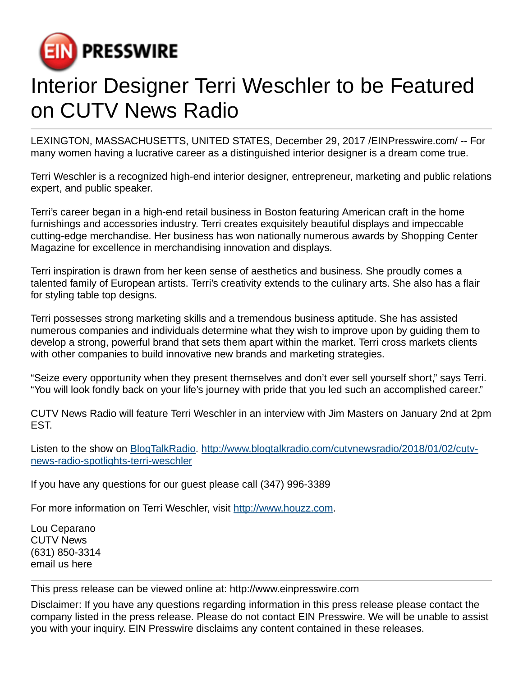

## Interior Designer Terri Weschler to be Featured on CUTV News Radio

LEXINGTON, MASSACHUSETTS, UNITED STATES, December 29, 2017 /[EINPresswire.com/](http://www.einpresswire.com) -- For many women having a lucrative career as a distinguished interior designer is a dream come true.

Terri Weschler is a recognized high-end interior designer, entrepreneur, marketing and public relations expert, and public speaker.

Terri's career began in a high-end retail business in Boston featuring American craft in the home furnishings and accessories industry. Terri creates exquisitely beautiful displays and impeccable cutting-edge merchandise. Her business has won nationally numerous awards by Shopping Center Magazine for excellence in merchandising innovation and displays.

Terri inspiration is drawn from her keen sense of aesthetics and business. She proudly comes a talented family of European artists. Terri's creativity extends to the culinary arts. She also has a flair for styling table top designs.

Terri possesses strong marketing skills and a tremendous business aptitude. She has assisted numerous companies and individuals determine what they wish to improve upon by guiding them to develop a strong, powerful brand that sets them apart within the market. Terri cross markets clients with other companies to build innovative new brands and marketing strategies.

"Seize every opportunity when they present themselves and don't ever sell yourself short," says Terri. "You will look fondly back on your life's journey with pride that you led such an accomplished career."

CUTV News Radio will feature Terri Weschler in an interview with Jim Masters on January 2nd at 2pm EST.

Listen to the show on [BlogTalkRadio](http://www.blogtalkradio.com/cutvnewsradio/2018/01/02/cutv-news-radio-spotlights-terri-weschler). [http://www.blogtalkradio.com/cutvnewsradio/2018/01/02/cutv](http://www.blogtalkradio.com/cutvnewsradio/2018/01/02/cutv-news-radio-spotlights-terri-weschler)[news-radio-spotlights-terri-weschler](http://www.blogtalkradio.com/cutvnewsradio/2018/01/02/cutv-news-radio-spotlights-terri-weschler)

If you have any questions for our guest please call (347) 996-3389

For more information on Terri Weschler, visit<http://www.houzz.com>.

Lou Ceparano CUTV News (631) 850-3314 [email us here](http://www.einpresswire.com/contact_author/2424597)

This press release can be viewed online at: [http://www.einpresswire.com](http://www.einpresswire.com/)

Disclaimer: If you have any questions regarding information in this press release please contact the company listed in the press release. Please do not contact EIN Presswire. We will be unable to assist you with your inquiry. EIN Presswire disclaims any content contained in these releases.